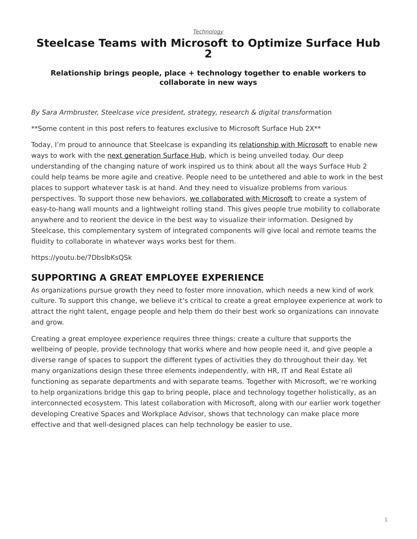#### *[Technology](https://www.steelcase.com/research/topics/technology/)*

## <span id="page-0-0"></span>**Steelcase Teams with Microsoft to Optimize Surface Hub 2**

### **Relationship brings people, place + technology together to enable workers to collaborate in new ways**

*By Sara Armbruster, Steelcase vice president, strategy, research & digital transfor*mation

\*\*Some content in this post refers to features exclusive to Microsoft Surface Hub 2X\*\*

Today, I'm proud to announce that Steelcase is expanding its [relationship with Microsoft](https://www.steelcase.com/microsoft-steelcase/) to enable new ways to work with the [next generation Surface Hub](https://www.microsoft.com/en-us/surface/business/surface-hub-2), which is being unveiled today. Our deep understanding of the changing nature of work inspired us to think about all the ways Surface Hub 2 could help teams be more agile and creative. People need to be untethered and able to work in the best places to support whatever task is at hand. And they need to visualize problems from various perspectives. To support those new behaviors, [we collaborated with Microsoft](https://www.steelcase.com/products/collaboration/steelcase-roam/) to create a system of easy-to-hang wall mounts and a lightweight rolling stand. This gives people true mobility to collaborate anywhere and to reorient the device in the best way to visualize their information. Designed by Steelcase, this complementary system of integrated components will give local and remote teams the fluidity to collaborate in whatever ways works best for them.

https://youtu.be/7DbslbKsQSk

### **SUPPORTING A GREAT EMPLOYEE EXPERIENCE**

As organizations pursue growth they need to foster more innovation, which needs a new kind of work culture. To support this change, we believe it's critical to create a great employee experience at work to attract the right talent, engage people and help them do their best work so organizations can innovate and grow.

Creating a great employee experience requires three things: create a culture that supports the wellbeing of people, provide technology that works where and how people need it, and give people a diverse range of spaces to support the different types of activities they do throughout their day. Yet many organizations design these three elements independently, with HR, IT and Real Estate all functioning as separate departments and with separate teams. Together with Microsoft, we're working to help organizations bridge this gap to bring people, place and technology together holistically, as an interconnected ecosystem. This latest collaboration with Microsoft, along with our earlier work together developing Creative Spaces and Workplace Advisor, shows that technology can make place more effective and that well-designed places can help technology be easier to use.